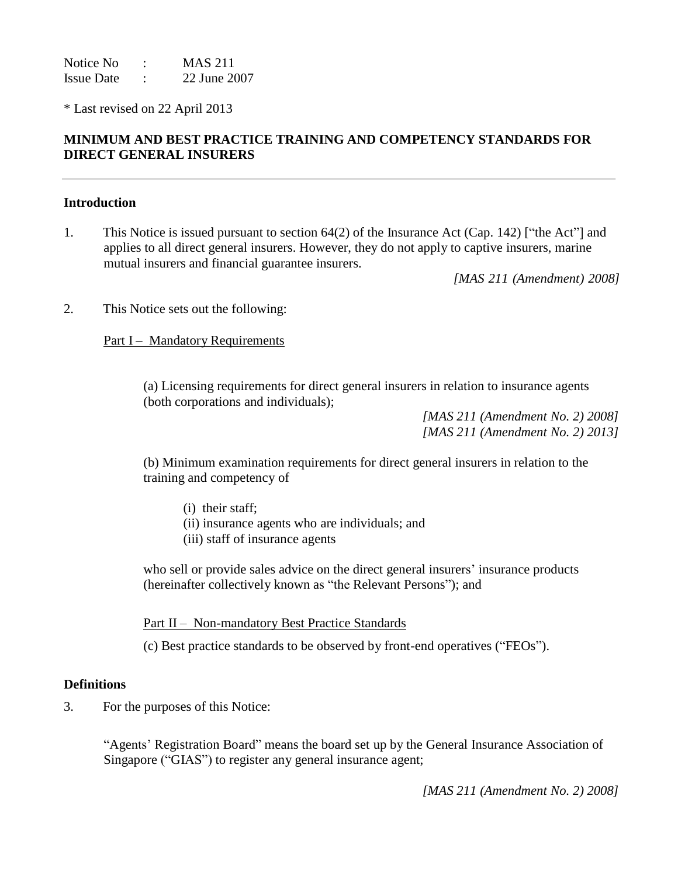Notice No : MAS 211 Issue Date : 22 June 2007

\* Last revised on 22 April 2013

# **MINIMUM AND BEST PRACTICE TRAINING AND COMPETENCY STANDARDS FOR DIRECT GENERAL INSURERS**

### **Introduction**

1. This Notice is issued pursuant to section 64(2) of the Insurance Act (Cap. 142) ["the Act"] and applies to all direct general insurers. However, they do not apply to captive insurers, marine mutual insurers and financial guarantee insurers.

*[MAS 211 (Amendment) 2008]*

2. This Notice sets out the following:

Part I – Mandatory Requirements

(a) Licensing requirements for direct general insurers in relation to insurance agents (both corporations and individuals);

> *[MAS 211 (Amendment No. 2) 2008] [MAS 211 (Amendment No. 2) 2013]*

(b) Minimum examination requirements for direct general insurers in relation to the training and competency of

(i) their staff;

(ii) insurance agents who are individuals; and

(iii) staff of insurance agents

who sell or provide sales advice on the direct general insurers' insurance products (hereinafter collectively known as "the Relevant Persons"); and

Part II – Non-mandatory Best Practice Standards

(c) Best practice standards to be observed by front-end operatives ("FEOs").

### **Definitions**

3. For the purposes of this Notice:

"Agents' Registration Board" means the board set up by the General Insurance Association of Singapore ("GIAS") to register any general insurance agent;

*[MAS 211 (Amendment No. 2) 2008]*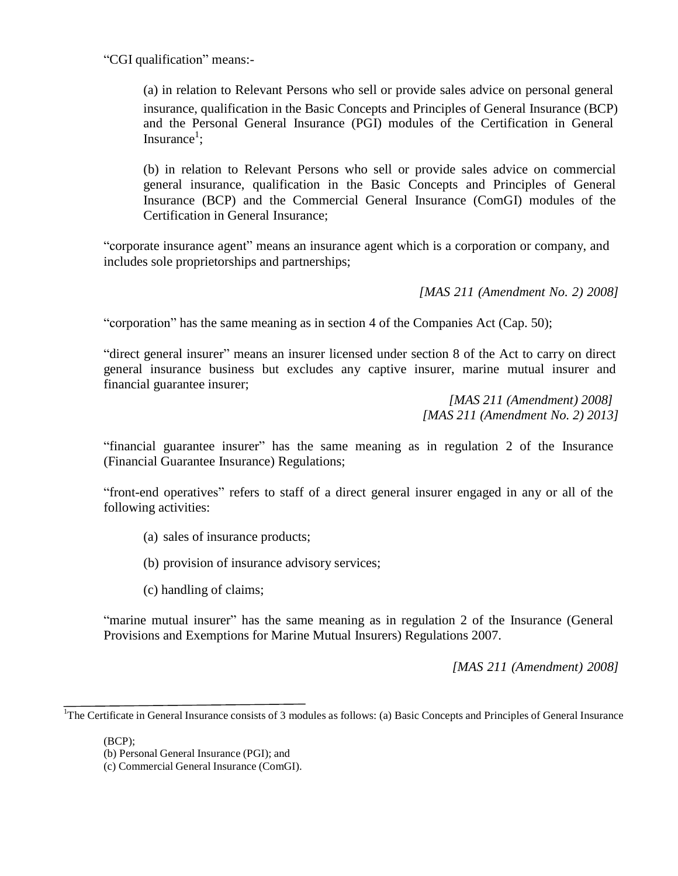"CGI qualification" means:-

(a) in relation to Relevant Persons who sell or provide sales advice on personal general insurance, qualification in the Basic Concepts and Principles of General Insurance (BCP) and the Personal General Insurance (PGI) modules of the Certification in General Insurance<sup>1</sup>;

(b) in relation to Relevant Persons who sell or provide sales advice on commercial general insurance, qualification in the Basic Concepts and Principles of General Insurance (BCP) and the Commercial General Insurance (ComGI) modules of the Certification in General Insurance;

"corporate insurance agent" means an insurance agent which is a corporation or company, and includes sole proprietorships and partnerships;

*[MAS 211 (Amendment No. 2) 2008]*

"corporation" has the same meaning as in section 4 of the Companies Act (Cap. 50);

"direct general insurer" means an insurer licensed under section 8 of the Act to carry on direct general insurance business but excludes any captive insurer, marine mutual insurer and financial guarantee insurer;

> *[MAS 211 (Amendment) 2008] [MAS 211 (Amendment No. 2) 2013]*

"financial guarantee insurer" has the same meaning as in regulation 2 of the Insurance (Financial Guarantee Insurance) Regulations;

"front-end operatives" refers to staff of a direct general insurer engaged in any or all of the following activities:

- (a) sales of insurance products;
- (b) provision of insurance advisory services;
- (c) handling of claims;

"marine mutual insurer" has the same meaning as in regulation 2 of the Insurance (General Provisions and Exemptions for Marine Mutual Insurers) Regulations 2007.

*[MAS 211 (Amendment) 2008]*

(BCP);

<sup>&</sup>lt;sup>1</sup>The Certificate in General Insurance consists of 3 modules as follows: (a) Basic Concepts and Principles of General Insurance

<sup>(</sup>b) Personal General Insurance (PGI); and

<sup>(</sup>c) Commercial General Insurance (ComGI).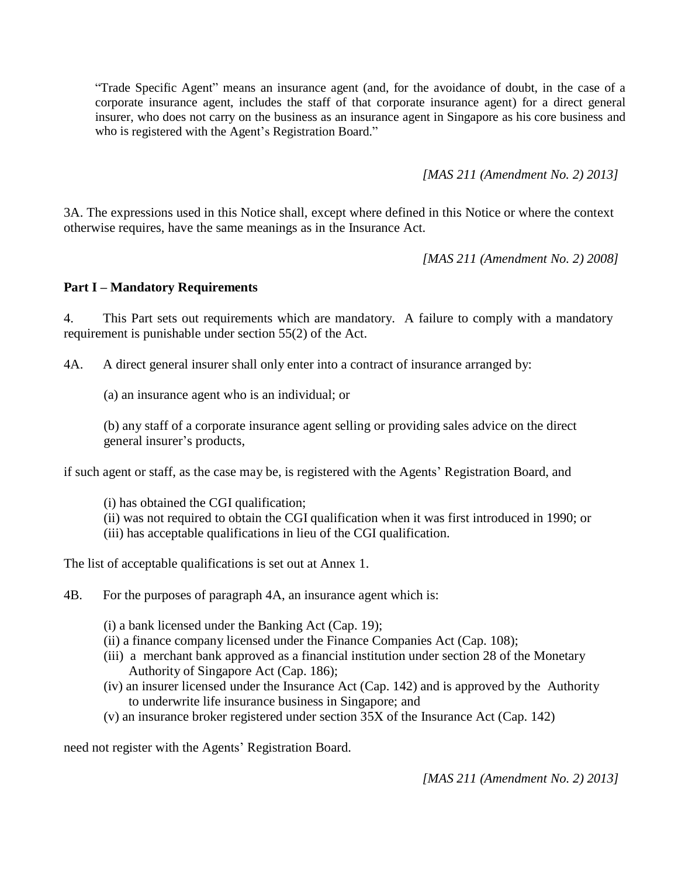"Trade Specific Agent" means an insurance agent (and, for the avoidance of doubt, in the case of a corporate insurance agent, includes the staff of that corporate insurance agent) for a direct general insurer, who does not carry on the business as an insurance agent in Singapore as his core business and who is registered with the Agent's Registration Board."

*[MAS 211 (Amendment No. 2) 2013]*

3A. The expressions used in this Notice shall, except where defined in this Notice or where the context otherwise requires, have the same meanings as in the Insurance Act.

*[MAS 211 (Amendment No. 2) 2008]*

### **Part I – Mandatory Requirements**

4. This Part sets out requirements which are mandatory. A failure to comply with a mandatory requirement is punishable under section 55(2) of the Act.

4A. A direct general insurer shall only enter into a contract of insurance arranged by:

(a) an insurance agent who is an individual; or

(b) any staff of a corporate insurance agent selling or providing sales advice on the direct general insurer's products,

if such agent or staff, as the case may be, is registered with the Agents' Registration Board, and

- (i) has obtained the CGI qualification;
- (ii) was not required to obtain the CGI qualification when it was first introduced in 1990; or
- (iii) has acceptable qualifications in lieu of the CGI qualification.

The list of acceptable qualifications is set out at Annex 1.

4B. For the purposes of paragraph 4A, an insurance agent which is:

(i) a bank licensed under the Banking Act (Cap. 19);

- (ii) a finance company licensed under the Finance Companies Act (Cap. 108);
- (iii) a merchant bank approved as a financial institution under section 28 of the Monetary Authority of Singapore Act (Cap. 186);
- (iv) an insurer licensed under the Insurance Act (Cap. 142) and is approved by the Authority to underwrite life insurance business in Singapore; and
- (v) an insurance broker registered under section 35X of the Insurance Act (Cap. 142)

need not register with the Agents' Registration Board.

*[MAS 211 (Amendment No. 2) 2013]*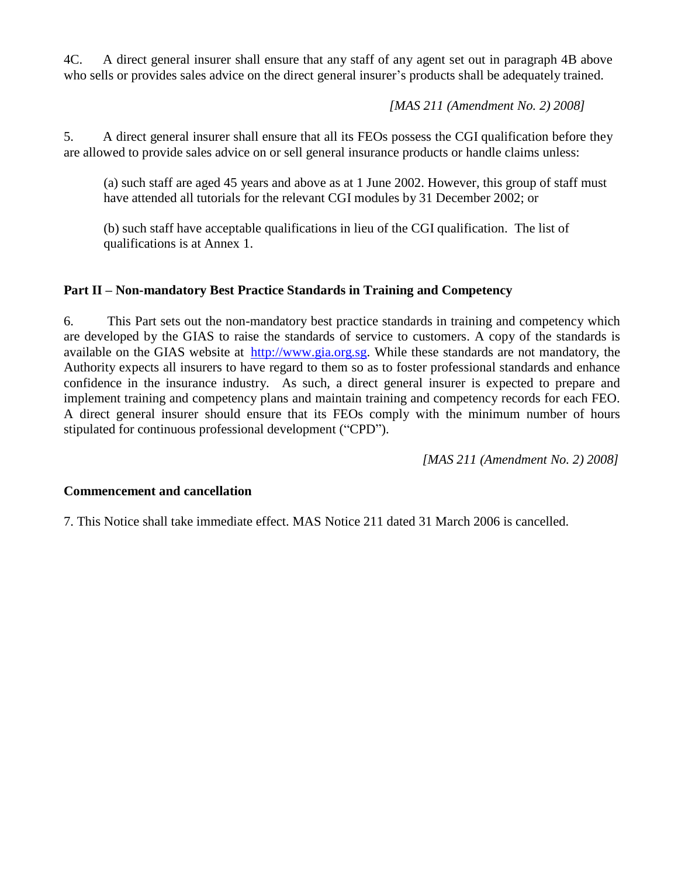4C. A direct general insurer shall ensure that any staff of any agent set out in paragraph 4B above who sells or provides sales advice on the direct general insurer's products shall be adequately trained.

*[MAS 211 (Amendment No. 2) 2008]*

5. A direct general insurer shall ensure that all its FEOs possess the CGI qualification before they are allowed to provide sales advice on or sell general insurance products or handle claims unless:

(a) such staff are aged 45 years and above as at 1 June 2002. However, this group of staff must have attended all tutorials for the relevant CGI modules by 31 December 2002; or

(b) such staff have acceptable qualifications in lieu of the CGI qualification. The list of qualifications is at Annex 1.

# **Part II – Non-mandatory Best Practice Standards in Training and Competency**

6. This Part sets out the non-mandatory best practice standards in training and competency which are developed by the GIAS to raise the standards of service to customers. A copy of the standards is available on the GIAS website at [http://www.gia.org.sg.](http://www.gia.org.sg/) While these standards are not mandatory, the Authority expects all insurers to have regard to them so as to foster professional standards and enhance confidence in the insurance industry. As such, a direct general insurer is expected to prepare and implement training and competency plans and maintain training and competency records for each FEO. A direct general insurer should ensure that its FEOs comply with the minimum number of hours stipulated for continuous professional development ("CPD").

*[MAS 211 (Amendment No. 2) 2008]*

# **Commencement and cancellation**

7. This Notice shall take immediate effect. MAS Notice 211 dated 31 March 2006 is cancelled.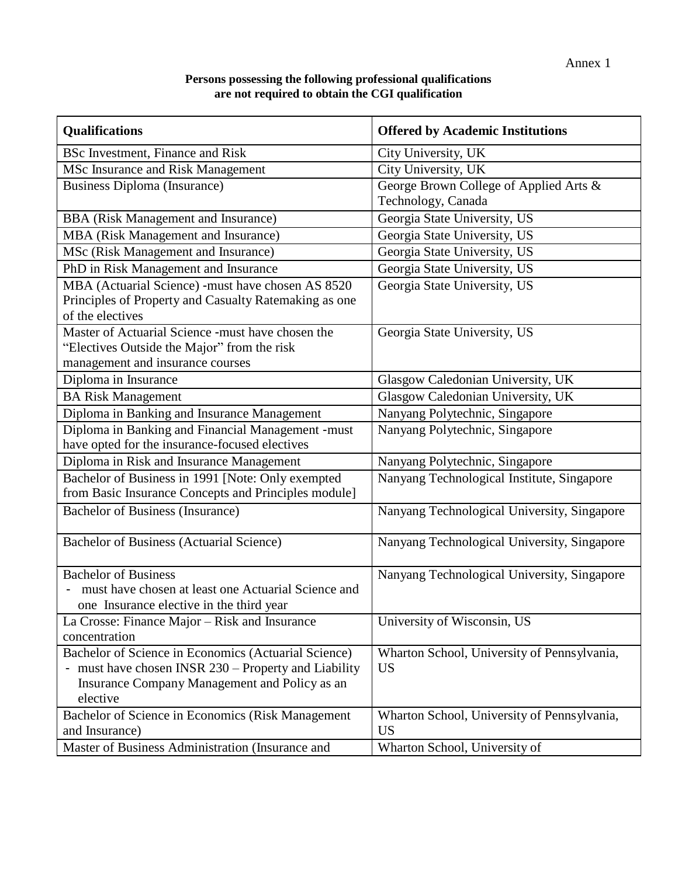# **Persons possessing the following professional qualifications are not required to obtain the CGI qualification**

| <b>Qualifications</b>                                 | <b>Offered by Academic Institutions</b>     |
|-------------------------------------------------------|---------------------------------------------|
| <b>BSc Investment, Finance and Risk</b>               | City University, UK                         |
| MSc Insurance and Risk Management                     | City University, UK                         |
| <b>Business Diploma (Insurance)</b>                   | George Brown College of Applied Arts &      |
|                                                       | Technology, Canada                          |
| <b>BBA</b> (Risk Management and Insurance)            | Georgia State University, US                |
| MBA (Risk Management and Insurance)                   | Georgia State University, US                |
| MSc (Risk Management and Insurance)                   | Georgia State University, US                |
| PhD in Risk Management and Insurance                  | Georgia State University, US                |
| MBA (Actuarial Science) -must have chosen AS 8520     | Georgia State University, US                |
| Principles of Property and Casualty Ratemaking as one |                                             |
| of the electives                                      |                                             |
| Master of Actuarial Science -must have chosen the     | Georgia State University, US                |
| "Electives Outside the Major" from the risk           |                                             |
| management and insurance courses                      |                                             |
| Diploma in Insurance                                  | Glasgow Caledonian University, UK           |
| <b>BA</b> Risk Management                             | Glasgow Caledonian University, UK           |
| Diploma in Banking and Insurance Management           | Nanyang Polytechnic, Singapore              |
| Diploma in Banking and Financial Management -must     | Nanyang Polytechnic, Singapore              |
| have opted for the insurance-focused electives        |                                             |
| Diploma in Risk and Insurance Management              | Nanyang Polytechnic, Singapore              |
| Bachelor of Business in 1991 [Note: Only exempted     | Nanyang Technological Institute, Singapore  |
| from Basic Insurance Concepts and Principles module]  |                                             |
| <b>Bachelor of Business (Insurance)</b>               | Nanyang Technological University, Singapore |
| Bachelor of Business (Actuarial Science)              | Nanyang Technological University, Singapore |
| <b>Bachelor of Business</b>                           | Nanyang Technological University, Singapore |
| must have chosen at least one Actuarial Science and   |                                             |
| one Insurance elective in the third year              |                                             |
| La Crosse: Finance Major – Risk and Insurance         | University of Wisconsin, US                 |
| concentration                                         |                                             |
| Bachelor of Science in Economics (Actuarial Science)  | Wharton School, University of Pennsylvania, |
| - must have chosen INSR 230 – Property and Liability  | <b>US</b>                                   |
| Insurance Company Management and Policy as an         |                                             |
| elective                                              |                                             |
| Bachelor of Science in Economics (Risk Management     | Wharton School, University of Pennsylvania, |
| and Insurance)                                        | <b>US</b>                                   |
| Master of Business Administration (Insurance and      | Wharton School, University of               |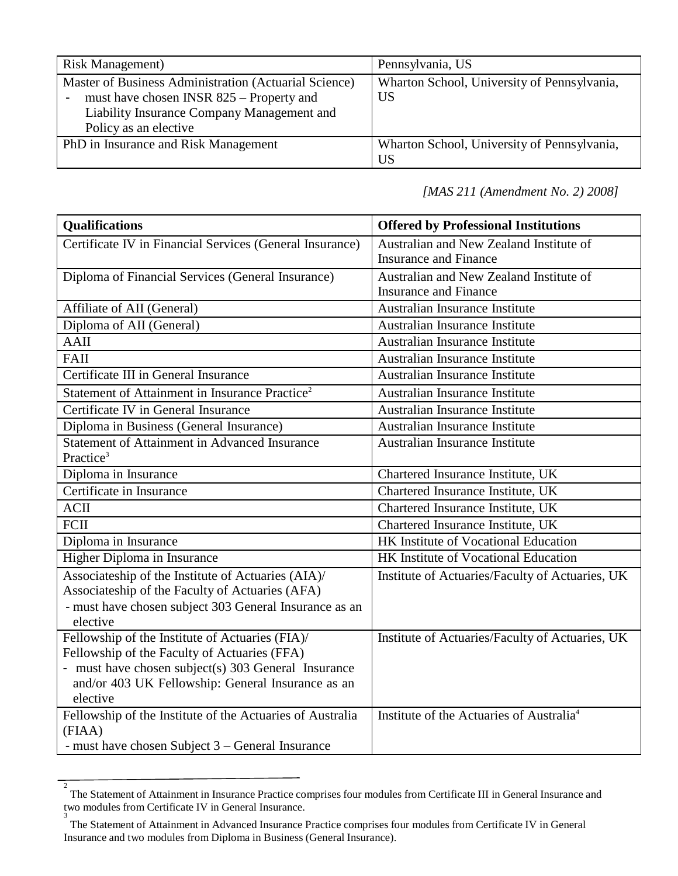| <b>Risk Management</b> )                                                                                                                                                 | Pennsylvania, US                                         |
|--------------------------------------------------------------------------------------------------------------------------------------------------------------------------|----------------------------------------------------------|
| Master of Business Administration (Actuarial Science)<br>must have chosen INSR 825 – Property and<br>Liability Insurance Company Management and<br>Policy as an elective | Wharton School, University of Pennsylvania,<br><b>US</b> |
| PhD in Insurance and Risk Management                                                                                                                                     | Wharton School, University of Pennsylvania,<br><b>US</b> |

*[MAS 211 (Amendment No. 2) 2008]*

| <b>Qualifications</b>                                               | <b>Offered by Professional Institutions</b>          |
|---------------------------------------------------------------------|------------------------------------------------------|
| Certificate IV in Financial Services (General Insurance)            | Australian and New Zealand Institute of              |
|                                                                     | <b>Insurance and Finance</b>                         |
| Diploma of Financial Services (General Insurance)                   | Australian and New Zealand Institute of              |
|                                                                     | <b>Insurance and Finance</b>                         |
| Affiliate of AII (General)                                          | Australian Insurance Institute                       |
| Diploma of AII (General)                                            | Australian Insurance Institute                       |
| AAII                                                                | Australian Insurance Institute                       |
| <b>FAII</b>                                                         | Australian Insurance Institute                       |
| Certificate III in General Insurance                                | Australian Insurance Institute                       |
| Statement of Attainment in Insurance Practice <sup>2</sup>          | Australian Insurance Institute                       |
| Certificate IV in General Insurance                                 | Australian Insurance Institute                       |
| Diploma in Business (General Insurance)                             | Australian Insurance Institute                       |
| <b>Statement of Attainment in Advanced Insurance</b>                | Australian Insurance Institute                       |
| Practice <sup>3</sup>                                               |                                                      |
| Diploma in Insurance                                                | Chartered Insurance Institute, UK                    |
| Certificate in Insurance                                            | Chartered Insurance Institute, UK                    |
| <b>ACII</b>                                                         | Chartered Insurance Institute, UK                    |
| FCII                                                                | Chartered Insurance Institute, UK                    |
| Diploma in Insurance                                                | HK Institute of Vocational Education                 |
| Higher Diploma in Insurance                                         | HK Institute of Vocational Education                 |
| Associateship of the Institute of Actuaries (AIA)/                  | Institute of Actuaries/Faculty of Actuaries, UK      |
| Associateship of the Faculty of Actuaries (AFA)                     |                                                      |
| - must have chosen subject 303 General Insurance as an              |                                                      |
| elective                                                            |                                                      |
| Fellowship of the Institute of Actuaries (FIA)/                     | Institute of Actuaries/Faculty of Actuaries, UK      |
| Fellowship of the Faculty of Actuaries (FFA)                        |                                                      |
| - must have chosen subject(s) 303 General Insurance                 |                                                      |
| and/or 403 UK Fellowship: General Insurance as an                   |                                                      |
| elective                                                            |                                                      |
| Fellowship of the Institute of the Actuaries of Australia<br>(FIAA) | Institute of the Actuaries of Australia <sup>4</sup> |
| - must have chosen Subject 3 – General Insurance                    |                                                      |

<sup>2</sup> The Statement of Attainment in Insurance Practice comprises four modules from Certificate III in General Insurance and two modules from Certificate IV in General Insurance. 3

The Statement of Attainment in Advanced Insurance Practice comprises four modules from Certificate IV in General Insurance and two modules from Diploma in Business (General Insurance).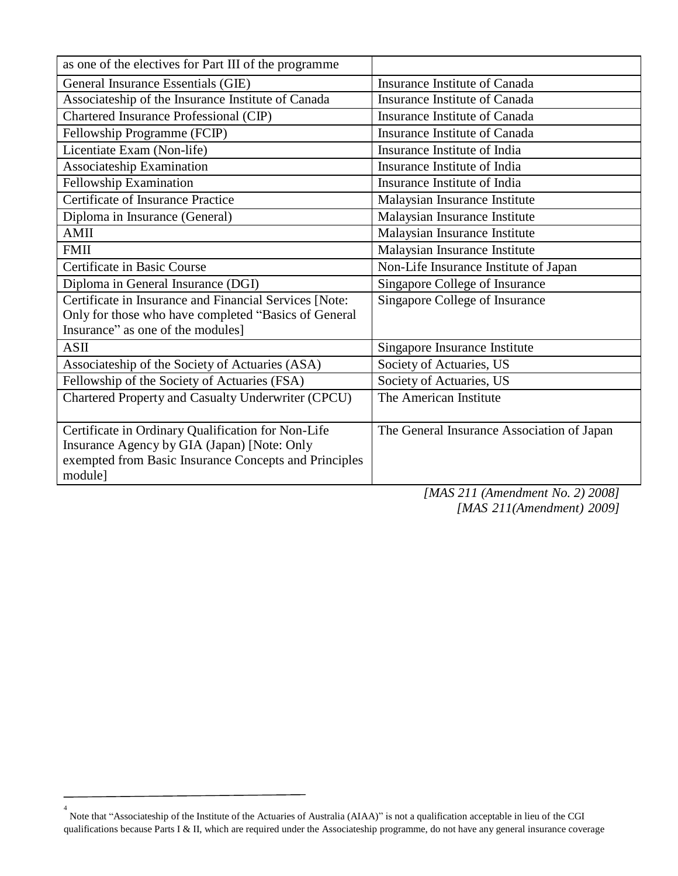| as one of the electives for Part III of the programme  |                                            |
|--------------------------------------------------------|--------------------------------------------|
| General Insurance Essentials (GIE)                     | Insurance Institute of Canada              |
| Associateship of the Insurance Institute of Canada     | <b>Insurance Institute of Canada</b>       |
| Chartered Insurance Professional (CIP)                 | Insurance Institute of Canada              |
| Fellowship Programme (FCIP)                            | Insurance Institute of Canada              |
| Licentiate Exam (Non-life)                             | Insurance Institute of India               |
| Associateship Examination                              | Insurance Institute of India               |
| <b>Fellowship Examination</b>                          | Insurance Institute of India               |
| <b>Certificate of Insurance Practice</b>               | Malaysian Insurance Institute              |
| Diploma in Insurance (General)                         | Malaysian Insurance Institute              |
| <b>AMII</b>                                            | Malaysian Insurance Institute              |
| <b>FMII</b>                                            | Malaysian Insurance Institute              |
| Certificate in Basic Course                            | Non-Life Insurance Institute of Japan      |
| Diploma in General Insurance (DGI)                     | Singapore College of Insurance             |
| Certificate in Insurance and Financial Services [Note: | Singapore College of Insurance             |
| Only for those who have completed "Basics of General   |                                            |
| Insurance" as one of the modules]                      |                                            |
| ASII                                                   | Singapore Insurance Institute              |
| Associateship of the Society of Actuaries (ASA)        | Society of Actuaries, US                   |
| Fellowship of the Society of Actuaries (FSA)           | Society of Actuaries, US                   |
| Chartered Property and Casualty Underwriter (CPCU)     | The American Institute                     |
|                                                        |                                            |
| Certificate in Ordinary Qualification for Non-Life     | The General Insurance Association of Japan |
| Insurance Agency by GIA (Japan) [Note: Only            |                                            |
| exempted from Basic Insurance Concepts and Principles  |                                            |
| module]                                                |                                            |

*[MAS 211 (Amendment No. 2) 2008] [MAS 211(Amendment) 2009]*

<sup>4</sup> Note that "Associateship of the Institute of the Actuaries of Australia (AIAA)" is not a qualification acceptable in lieu of the CGI qualifications because Parts I & II, which are required under the Associateship programme, do not have any general insurance coverage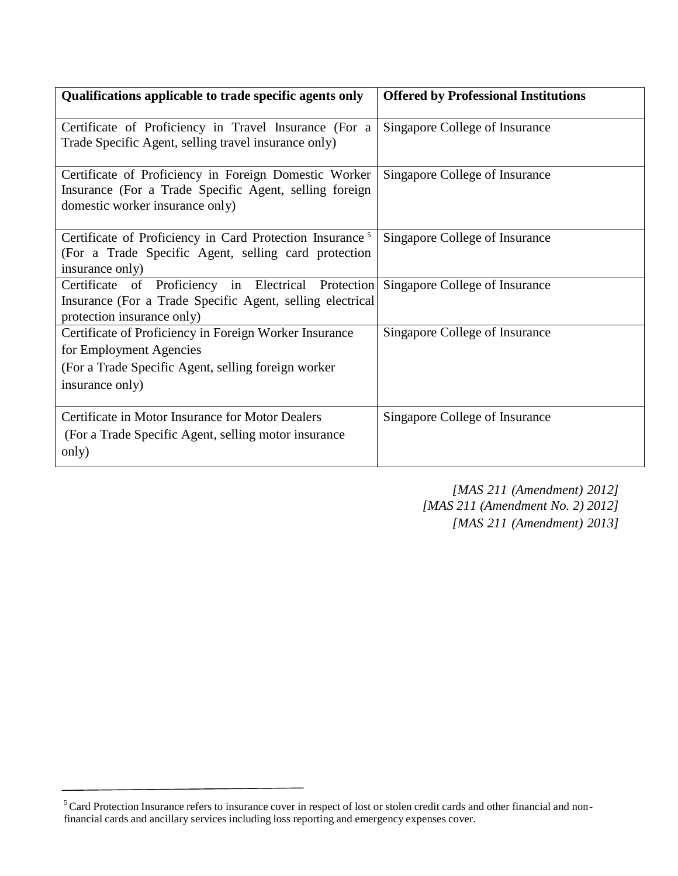| Qualifications applicable to trade specific agents only                                                                                                      | <b>Offered by Professional Institutions</b> |
|--------------------------------------------------------------------------------------------------------------------------------------------------------------|---------------------------------------------|
| Certificate of Proficiency in Travel Insurance (For a<br>Trade Specific Agent, selling travel insurance only)                                                | Singapore College of Insurance              |
| Certificate of Proficiency in Foreign Domestic Worker<br>Insurance (For a Trade Specific Agent, selling foreign<br>domestic worker insurance only)           | Singapore College of Insurance              |
| Certificate of Proficiency in Card Protection Insurance <sup>5</sup><br>(For a Trade Specific Agent, selling card protection<br>insurance only)              | Singapore College of Insurance              |
| Certificate of Proficiency in Electrical Protection<br>Insurance (For a Trade Specific Agent, selling electrical)<br>protection insurance only)              | Singapore College of Insurance              |
| Certificate of Proficiency in Foreign Worker Insurance<br>for Employment Agencies<br>(For a Trade Specific Agent, selling foreign worker)<br>insurance only) | Singapore College of Insurance              |
| Certificate in Motor Insurance for Motor Dealers<br>(For a Trade Specific Agent, selling motor insurance)<br>only)                                           | Singapore College of Insurance              |

*[MAS 211 (Amendment) 2012] [MAS 211 (Amendment No. 2) 2012] [MAS 211 (Amendment) 2013]*

<sup>&</sup>lt;sup>5</sup> Card Protection Insurance refers to insurance cover in respect of lost or stolen credit cards and other financial and nonfinancial cards and ancillary services including loss reporting and emergency expenses cover.